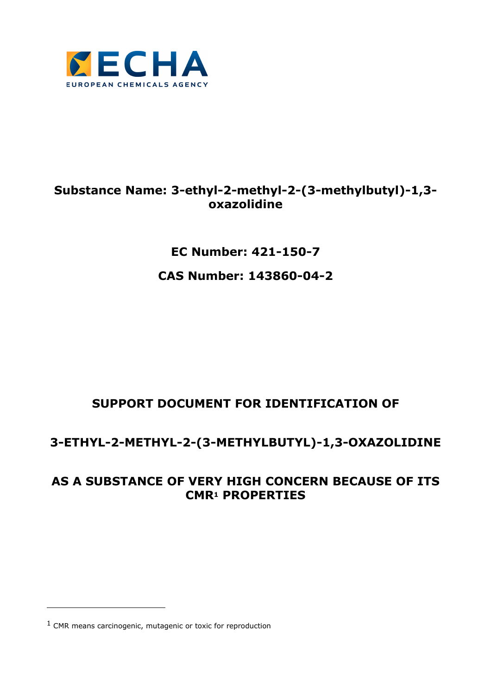

### **Substance Name: 3-ethyl-2-methyl-2-(3-methylbutyl)-1,3 oxazolidine**

### **EC Number: 421-150-7**

### **CAS Number: 143860-04-2**

## **SUPPORT DOCUMENT FOR IDENTIFICATION OF**

### **3-ETHYL-2-METHYL-2-(3-METHYLBUTYL)-1,3-OXAZOLIDINE**

### **AS A SUBSTANCE OF VERY HIGH CONCERN BECAUSE OF ITS CMR1 PROPERTIES**

l

<sup>1</sup> CMR means carcinogenic, mutagenic or toxic for reproduction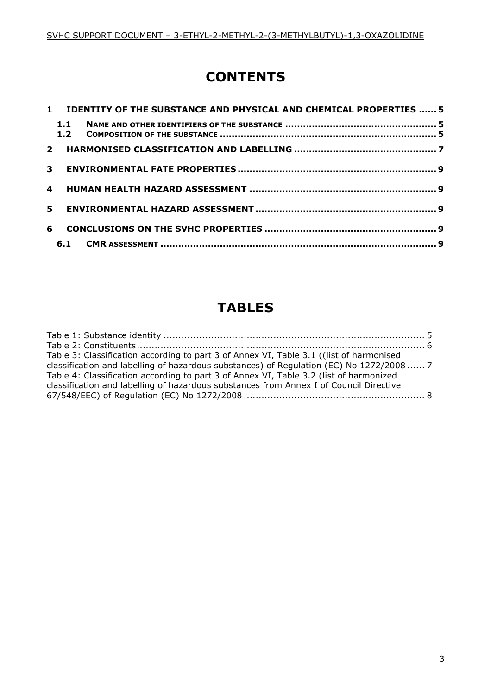## **CONTENTS**

|   |     | 1 IDENTITY OF THE SUBSTANCE AND PHYSICAL AND CHEMICAL PROPERTIES  5 |  |
|---|-----|---------------------------------------------------------------------|--|
|   | 1.1 |                                                                     |  |
|   |     |                                                                     |  |
|   |     |                                                                     |  |
| 4 |     |                                                                     |  |
|   | 5   |                                                                     |  |
| 6 |     |                                                                     |  |
|   |     |                                                                     |  |

# **TABLES**

| Table 3: Classification according to part 3 of Annex VI, Table 3.1 ((list of harmonised |  |
|-----------------------------------------------------------------------------------------|--|
| classification and labelling of hazardous substances) of Regulation (EC) No 1272/2008 7 |  |
| Table 4: Classification according to part 3 of Annex VI, Table 3.2 (list of harmonized  |  |
| classification and labelling of hazardous substances from Annex I of Council Directive  |  |
|                                                                                         |  |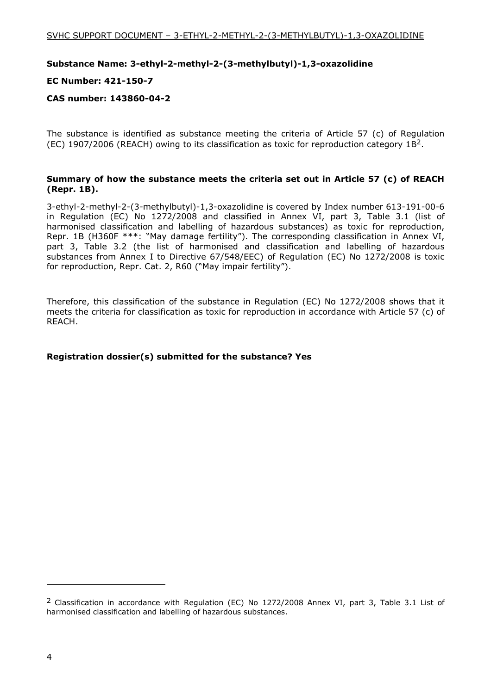#### **Substance Name: 3-ethyl-2-methyl-2-(3-methylbutyl)-1,3-oxazolidine**

#### **EC Number: 421-150-7**

#### **CAS number: 143860-04-2**

The substance is identified as substance meeting the criteria of Article 57 (c) of Regulation (EC) 1907/2006 (REACH) owing to its classification as toxic for reproduction category  $1B^2$ .

#### **Summary of how the substance meets the criteria set out in Article 57 (c) of REACH (Repr. 1B).**

3-ethyl-2-methyl-2-(3-methylbutyl)-1,3-oxazolidine is covered by Index number 613-191-00-6 in Regulation (EC) No 1272/2008 and classified in Annex VI, part 3, Table 3.1 (list of harmonised classification and labelling of hazardous substances) as toxic for reproduction, Repr. 1B (H360F \*\*\*: "May damage fertility"). The corresponding classification in Annex VI, part 3, Table 3.2 (the list of harmonised and classification and labelling of hazardous substances from Annex I to Directive 67/548/EEC) of Regulation (EC) No 1272/2008 is toxic for reproduction, Repr. Cat. 2, R60 ("May impair fertility").

Therefore, this classification of the substance in Regulation (EC) No 1272/2008 shows that it meets the criteria for classification as toxic for reproduction in accordance with Article 57 (c) of REACH.

#### **Registration dossier(s) submitted for the substance? Yes**

i,

<sup>2</sup> Classification in accordance with Regulation (EC) No 1272/2008 Annex VI, part 3, Table 3.1 List of harmonised classification and labelling of hazardous substances.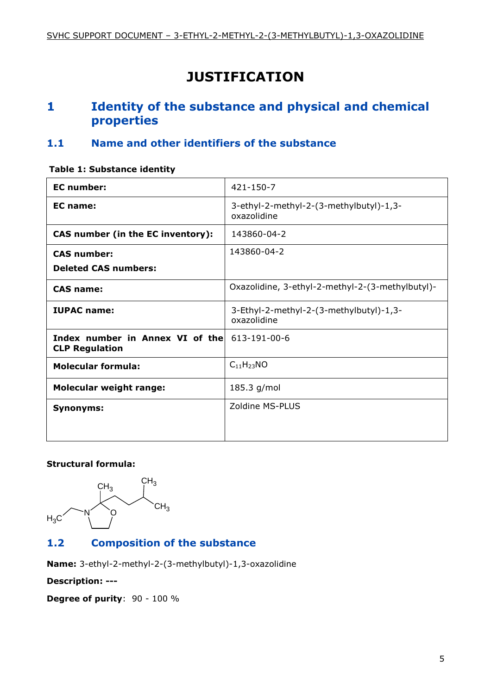## **JUSTIFICATION**

### **1 Identity of the substance and physical and chemical properties**

#### **1.1 Name and other identifiers of the substance**

#### **Table 1: Substance identity**

| <b>EC</b> number:                                                            | 421-150-7                                              |  |  |  |  |
|------------------------------------------------------------------------------|--------------------------------------------------------|--|--|--|--|
| EC name:                                                                     | 3-ethyl-2-methyl-2-(3-methylbutyl)-1,3-<br>oxazolidine |  |  |  |  |
| <b>CAS number (in the EC inventory):</b>                                     | 143860-04-2                                            |  |  |  |  |
| <b>CAS number:</b>                                                           | 143860-04-2                                            |  |  |  |  |
| <b>Deleted CAS numbers:</b>                                                  |                                                        |  |  |  |  |
| <b>CAS name:</b>                                                             | Oxazolidine, 3-ethyl-2-methyl-2-(3-methylbutyl)-       |  |  |  |  |
| <b>IUPAC name:</b>                                                           | 3-Ethyl-2-methyl-2-(3-methylbutyl)-1,3-<br>oxazolidine |  |  |  |  |
| <b>Index number in Annex VI of the</b> 613-191-00-6<br><b>CLP Regulation</b> |                                                        |  |  |  |  |
| <b>Molecular formula:</b>                                                    | $C_{11}H_{23}NO$                                       |  |  |  |  |
| <b>Molecular weight range:</b>                                               | 185.3 g/mol                                            |  |  |  |  |
| <b>Synonyms:</b>                                                             | Zoldine MS-PLUS                                        |  |  |  |  |

#### **Structural formula:**



### **1.2 Composition of the substance**

**Name:** 3-ethyl-2-methyl-2-(3-methylbutyl)-1,3-oxazolidine

**Description: ---** 

**Degree of purity**: 90 - 100 %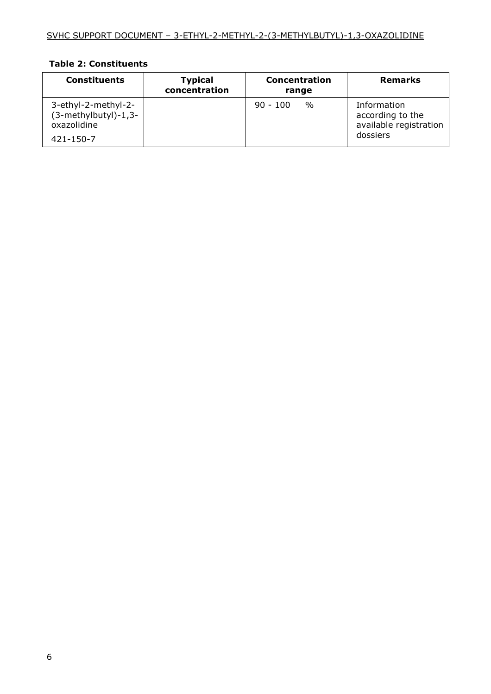#### **Table 2: Constituents**

| <b>Constituents</b>                                        | <b>Typical</b><br>concentration | <b>Concentration</b><br>range | <b>Remarks</b>                                            |
|------------------------------------------------------------|---------------------------------|-------------------------------|-----------------------------------------------------------|
| 3-ethyl-2-methyl-2-<br>(3-methylbutyl)-1,3-<br>oxazolidine |                                 | $\frac{0}{0}$<br>$90 - 100$   | Information<br>according to the<br>available registration |
| $421 - 150 - 7$                                            |                                 |                               | dossiers                                                  |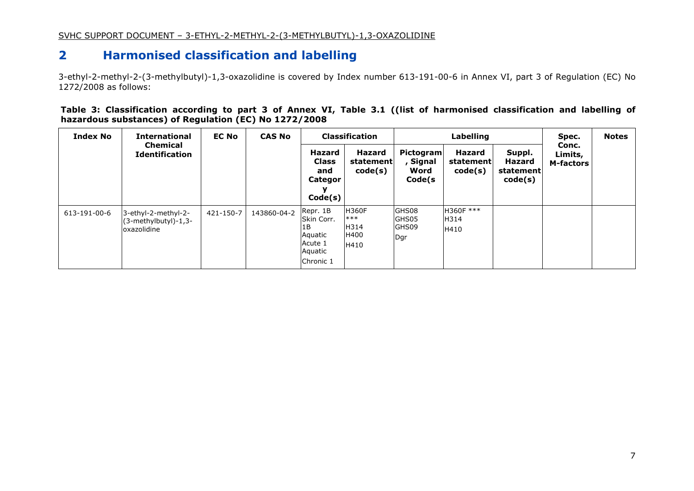#### **2Harmonised classification and labelling**

3-ethyl-2-methyl-2-(3-methylbutyl)-1,3-oxazolidine is covered by Index number 613-191-00-6 in Annex VI, part 3 of Regulation (EC) No 1272/2008 as follows:

**Table 3: Classification according to part 3 of Annex VI, Table 3.1 ((list of harmonised classification and labelling of hazardous substances) of Regulation (EC) No 1272/2008** 

| <b>Index No</b> | <b>International</b><br><b>Chemical</b><br><b>Identification</b> | <b>EC No</b> | <b>CAS No</b> |                                                                            | <b>Classification</b>                         |                                                | Labelling                      |                                          |                                      | <b>Notes</b> |
|-----------------|------------------------------------------------------------------|--------------|---------------|----------------------------------------------------------------------------|-----------------------------------------------|------------------------------------------------|--------------------------------|------------------------------------------|--------------------------------------|--------------|
|                 |                                                                  |              |               | Hazard<br><b>Class</b><br>and<br>Categor<br>Code(s)                        | Hazard<br>statement<br>code(s)                | <b>Pictogram</b><br>, Signal<br>Word<br>Code(s | Hazard<br>statement<br>code(s) | Suppl.<br>Hazard<br>statement<br>code(s) | Conc.<br>Limits,<br><b>M-factors</b> |              |
| 613-191-00-6    | 3-ethyl-2-methyl-2-<br>$(3-methylbutyl)-1,3-$<br>oxazolidine     | 421-150-7    | 143860-04-2   | Repr. 1B<br>Skin Corr.<br>1B<br>Aquatic<br>Acute 1<br>Aquatic<br>Chronic 1 | <b>H360F</b><br>$***$<br>H314<br>H400<br>H410 | GHS08<br>GHS05<br>GHS09<br>Dqr                 | H360F ***<br>H314<br>H410      |                                          |                                      |              |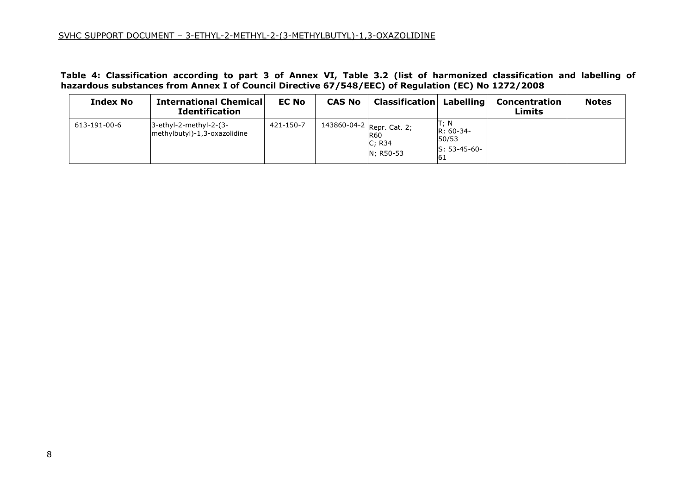#### SVHC SUPPORT DOCUMENT – 3-ETHYL-2-METHYL-2-(3-METHYLBUTYL)-1,3-OXAZOLIDINE

Table 4: Classification according to part 3 of Annex VI, Table 3.2 (list of harmonized classification and labelling of<br>hazardous substances from Annex I of Council Directive 67/548/EEC) of Regulation (EC) No 1272/2008

| <b>Index No</b> | <b>International Chemical</b><br><b>Identification</b> | <b>EC No</b> | <b>CAS No</b> | <b>Classification Labelling</b>                         |                                                       | Concentration<br>Limits | <b>Notes</b> |
|-----------------|--------------------------------------------------------|--------------|---------------|---------------------------------------------------------|-------------------------------------------------------|-------------------------|--------------|
| 613-191-00-6    | 3-ethyl-2-methyl-2-(3-<br>methylbutyl)-1,3-oxazolidine | 421-150-7    |               | 143860-04-2 Repr. Cat. 2;<br>R60<br>C; R34<br>N: R50-53 | T; N<br>$R: 60-34-$<br>50/53<br>$S: 53-45-60-$<br>-61 |                         |              |